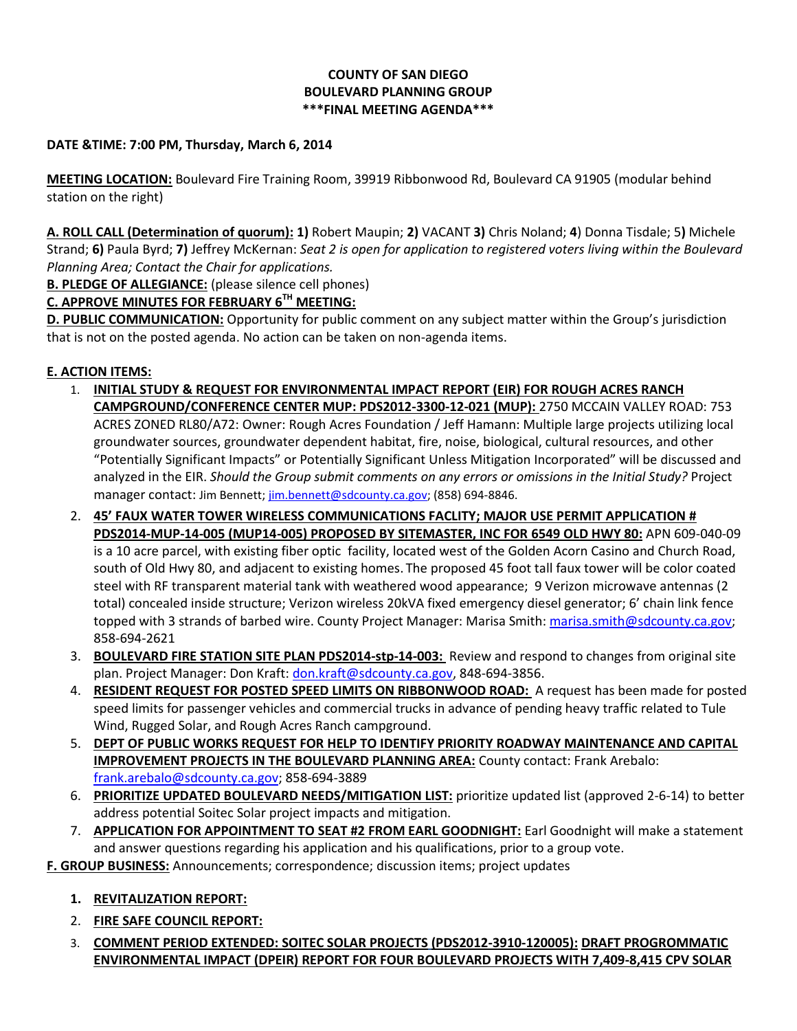## **COUNTY OF SAN DIEGO BOULEVARD PLANNING GROUP \*\*\*FINAL MEETING AGENDA\*\*\***

### **DATE &TIME: 7:00 PM, Thursday, March 6, 2014**

**MEETING LOCATION:** Boulevard Fire Training Room, 39919 Ribbonwood Rd, Boulevard CA 91905 (modular behind station on the right)

**A. ROLL CALL (Determination of quorum): 1)** Robert Maupin; **2)** VACANT **3)** Chris Noland; **4**) Donna Tisdale; 5**)** Michele Strand; **6)** Paula Byrd; **7)** Jeffrey McKernan: *Seat 2 is open for application to registered voters living within the Boulevard Planning Area; Contact the Chair for applications.* 

**B. PLEDGE OF ALLEGIANCE:** (please silence cell phones)

## **C. APPROVE MINUTES FOR FEBRUARY 6TH MEETING:**

**D. PUBLIC COMMUNICATION:** Opportunity for public comment on any subject matter within the Group's jurisdiction that is not on the posted agenda. No action can be taken on non-agenda items.

## **E. ACTION ITEMS:**

- 1. **INITIAL STUDY & REQUEST FOR ENVIRONMENTAL IMPACT REPORT (EIR) FOR ROUGH ACRES RANCH CAMPGROUND/CONFERENCE CENTER MUP: PDS2012-3300-12-021 (MUP):** 2750 MCCAIN VALLEY ROAD: 753 ACRES ZONED RL80/A72: Owner: Rough Acres Foundation / Jeff Hamann: Multiple large projects utilizing local groundwater sources, groundwater dependent habitat, fire, noise, biological, cultural resources, and other "Potentially Significant Impacts" or Potentially Significant Unless Mitigation Incorporated" will be discussed and analyzed in the EIR. *Should the Group submit comments on any errors or omissions in the Initial Study?* Project manager contact: Jim Bennett[; jim.bennett@sdcounty.ca.gov;](mailto:jim.bennett@sdcounty.ca.gov) (858) 694-8846.
- 2. **45' FAUX WATER TOWER WIRELESS COMMUNICATIONS FACLITY; MAJOR USE PERMIT APPLICATION # PDS2014-MUP-14-005 (MUP14-005) PROPOSED BY SITEMASTER, INC FOR 6549 OLD HWY 80:** APN 609-040-09 is a 10 acre parcel, with existing fiber optic facility, located west of the Golden Acorn Casino and Church Road, south of Old Hwy 80, and adjacent to existing homes. The proposed 45 foot tall faux tower will be color coated steel with RF transparent material tank with weathered wood appearance; 9 Verizon microwave antennas (2 total) concealed inside structure; Verizon wireless 20kVA fixed emergency diesel generator; 6' chain link fence topped with 3 strands of barbed wire. County Project Manager: Marisa Smith: [marisa.smith@sdcounty.ca.gov;](mailto:marisa.smith@sdcounty.ca.gov) 858-694-2621
- 3. **BOULEVARD FIRE STATION SITE PLAN PDS2014-stp-14-003:** Review and respond to changes from original site plan. Project Manager: Don Kraft[: don.kraft@sdcounty.ca.gov,](mailto:don.kraft@sdcounty.ca.gov) 848-694-3856.
- 4. **RESIDENT REQUEST FOR POSTED SPEED LIMITS ON RIBBONWOOD ROAD:** A request has been made for posted speed limits for passenger vehicles and commercial trucks in advance of pending heavy traffic related to Tule Wind, Rugged Solar, and Rough Acres Ranch campground.
- 5. **DEPT OF PUBLIC WORKS REQUEST FOR HELP TO IDENTIFY PRIORITY ROADWAY MAINTENANCE AND CAPITAL IMPROVEMENT PROJECTS IN THE BOULEVARD PLANNING AREA:** County contact: Frank Arebalo: [frank.arebalo@sdcounty.ca.gov;](mailto:frank.arebalo@sdcounty.ca.gov) 858-694-3889
- 6. **PRIORITIZE UPDATED BOULEVARD NEEDS/MITIGATION LIST:** prioritize updated list (approved 2-6-14) to better address potential Soitec Solar project impacts and mitigation.
- 7. **APPLICATION FOR APPOINTMENT TO SEAT #2 FROM EARL GOODNIGHT:** Earl Goodnight will make a statement and answer questions regarding his application and his qualifications, prior to a group vote.

**F. GROUP BUSINESS:** Announcements; correspondence; discussion items; project updates

- **1. REVITALIZATION REPORT:**
- 2. **FIRE SAFE COUNCIL REPORT:**
- 3. **COMMENT PERIOD EXTENDED: SOITEC SOLAR PROJECTS (PDS2012-3910-120005): DRAFT PROGROMMATIC ENVIRONMENTAL IMPACT (DPEIR) REPORT FOR FOUR BOULEVARD PROJECTS WITH 7,409-8,415 CPV SOLAR**